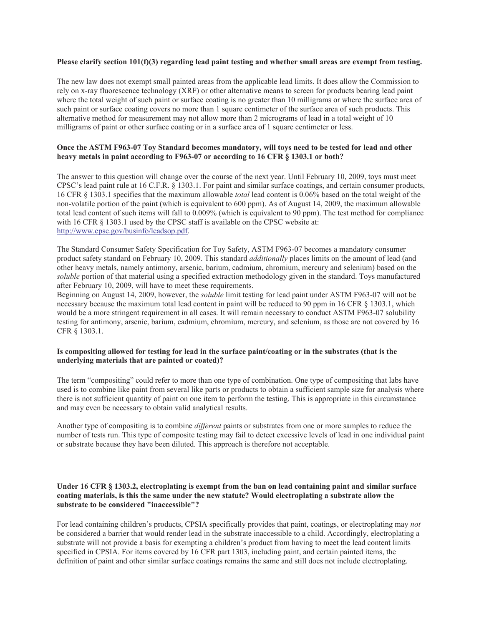### **Please clarify section 101(f)(3) regarding lead paint testing and whether small areas are exempt from testing.**

The new law does not exempt small painted areas from the applicable lead limits. It does allow the Commission to rely on x-ray fluorescence technology (XRF) or other alternative means to screen for products bearing lead paint where the total weight of such paint or surface coating is no greater than 10 milligrams or where the surface area of such paint or surface coating covers no more than 1 square centimeter of the surface area of such products. This alternative method for measurement may not allow more than 2 micrograms of lead in a total weight of 10 milligrams of paint or other surface coating or in a surface area of 1 square centimeter or less.

### **Once the ASTM F963-07 Toy Standard becomes mandatory, will toys need to be tested for lead and other heavy metals in paint according to F963-07 or according to 16 CFR § 1303.1 or both?**

The answer to this question will change over the course of the next year. Until February 10, 2009, toys must meet CPSC's lead paint rule at 16 C.F.R. § 1303.1. For paint and similar surface coatings, and certain consumer products, 16 CFR § 1303.1 specifies that the maximum allowable *total* lead content is 0.06% based on the total weight of the non-volatile portion of the paint (which is equivalent to 600 ppm). As of August 14, 2009, the maximum allowable total lead content of such items will fall to 0.009% (which is equivalent to 90 ppm). The test method for compliance with 16 CFR § 1303.1 used by the CPSC staff is available on the CPSC website at: http://www.cpsc.gov/businfo/leadsop.pdf.

The Standard Consumer Safety Specification for Toy Safety, ASTM F963-07 becomes a mandatory consumer product safety standard on February 10, 2009. This standard *additionally* places limits on the amount of lead (and other heavy metals, namely antimony, arsenic, barium, cadmium, chromium, mercury and selenium) based on the *soluble* portion of that material using a specified extraction methodology given in the standard. Toys manufactured after February 10, 2009, will have to meet these requirements.

Beginning on August 14, 2009, however, the *soluble* limit testing for lead paint under ASTM F963-07 will not be necessary because the maximum total lead content in paint will be reduced to 90 ppm in 16 CFR § 1303.1, which would be a more stringent requirement in all cases. It will remain necessary to conduct ASTM F963-07 solubility testing for antimony, arsenic, barium, cadmium, chromium, mercury, and selenium, as those are not covered by 16 CFR § 1303.1.

# **Is compositing allowed for testing for lead in the surface paint/coating or in the substrates (that is the underlying materials that are painted or coated)?**

The term "compositing" could refer to more than one type of combination. One type of compositing that labs have used is to combine like paint from several like parts or products to obtain a sufficient sample size for analysis where there is not sufficient quantity of paint on one item to perform the testing. This is appropriate in this circumstance and may even be necessary to obtain valid analytical results.

Another type of compositing is to combine *different* paints or substrates from one or more samples to reduce the number of tests run. This type of composite testing may fail to detect excessive levels of lead in one individual paint or substrate because they have been diluted. This approach is therefore not acceptable.

# **Under 16 CFR § 1303.2, electroplating is exempt from the ban on lead containing paint and similar surface coating materials, is this the same under the new statute? Would electroplating a substrate allow the substrate to be considered "inaccessible"?**

For lead containing children's products, CPSIA specifically provides that paint, coatings, or electroplating may *not* be considered a barrier that would render lead in the substrate inaccessible to a child. Accordingly, electroplating a substrate will not provide a basis for exempting a children's product from having to meet the lead content limits specified in CPSIA. For items covered by 16 CFR part 1303, including paint, and certain painted items, the definition of paint and other similar surface coatings remains the same and still does not include electroplating.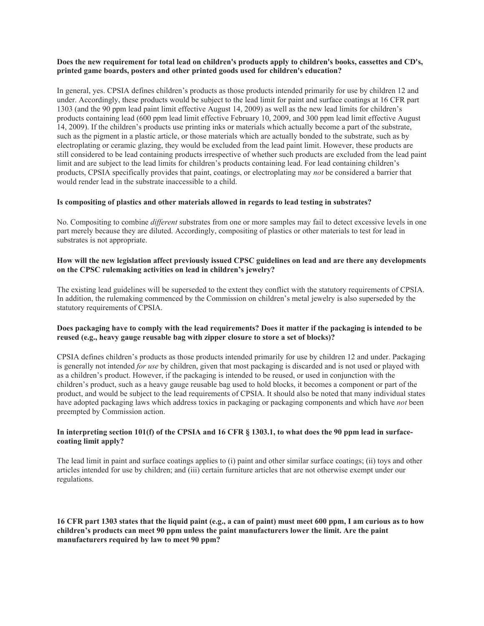# **Does the new requirement for total lead on children's products apply to children's books, cassettes and CD's, printed game boards, posters and other printed goods used for children's education?**

In general, yes. CPSIA defines children's products as those products intended primarily for use by children 12 and under. Accordingly, these products would be subject to the lead limit for paint and surface coatings at 16 CFR part 1303 (and the 90 ppm lead paint limit effective August 14, 2009) as well as the new lead limits for children's products containing lead (600 ppm lead limit effective February 10, 2009, and 300 ppm lead limit effective August 14, 2009). If the children's products use printing inks or materials which actually become a part of the substrate, such as the pigment in a plastic article, or those materials which are actually bonded to the substrate, such as by electroplating or ceramic glazing, they would be excluded from the lead paint limit. However, these products are still considered to be lead containing products irrespective of whether such products are excluded from the lead paint limit and are subject to the lead limits for children's products containing lead. For lead containing children's products, CPSIA specifically provides that paint, coatings, or electroplating may *not* be considered a barrier that would render lead in the substrate inaccessible to a child.

# **Is compositing of plastics and other materials allowed in regards to lead testing in substrates?**

No. Compositing to combine *different* substrates from one or more samples may fail to detect excessive levels in one part merely because they are diluted. Accordingly, compositing of plastics or other materials to test for lead in substrates is not appropriate.

### **How will the new legislation affect previously issued CPSC guidelines on lead and are there any developments on the CPSC rulemaking activities on lead in children's jewelry?**

The existing lead guidelines will be superseded to the extent they conflict with the statutory requirements of CPSIA. In addition, the rulemaking commenced by the Commission on children's metal jewelry is also superseded by the statutory requirements of CPSIA.

# **Does packaging have to comply with the lead requirements? Does it matter if the packaging is intended to be reused (e.g., heavy gauge reusable bag with zipper closure to store a set of blocks)?**

CPSIA defines children's products as those products intended primarily for use by children 12 and under. Packaging is generally not intended *for use* by children, given that most packaging is discarded and is not used or played with as a children's product. However, if the packaging is intended to be reused, or used in conjunction with the children's product, such as a heavy gauge reusable bag used to hold blocks, it becomes a component or part of the product, and would be subject to the lead requirements of CPSIA. It should also be noted that many individual states have adopted packaging laws which address toxics in packaging or packaging components and which have *not* been preempted by Commission action.

# **In interpreting section 101(f) of the CPSIA and 16 CFR § 1303.1, to what does the 90 ppm lead in surfacecoating limit apply?**

The lead limit in paint and surface coatings applies to (i) paint and other similar surface coatings; (ii) toys and other articles intended for use by children; and (iii) certain furniture articles that are not otherwise exempt under our regulations.

# **16 CFR part 1303 states that the liquid paint (e.g., a can of paint) must meet 600 ppm, I am curious as to how children's products can meet 90 ppm unless the paint manufacturers lower the limit. Are the paint manufacturers required by law to meet 90 ppm?**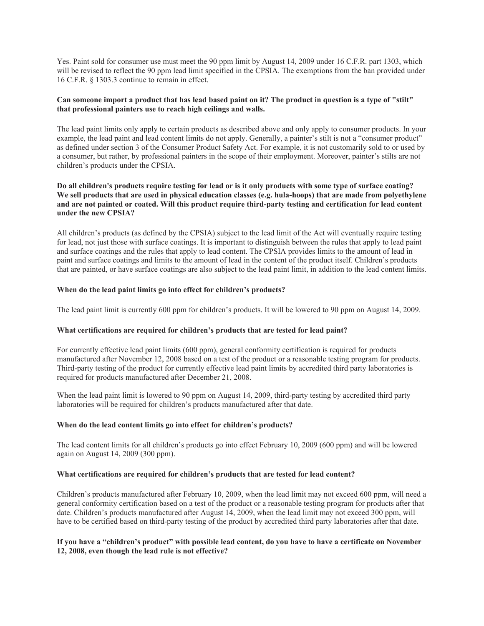Yes. Paint sold for consumer use must meet the 90 ppm limit by August 14, 2009 under 16 C.F.R. part 1303, which will be revised to reflect the 90 ppm lead limit specified in the CPSIA. The exemptions from the ban provided under 16 C.F.R. § 1303.3 continue to remain in effect.

### **Can someone import a product that has lead based paint on it? The product in question is a type of "stilt" that professional painters use to reach high ceilings and walls.**

The lead paint limits only apply to certain products as described above and only apply to consumer products. In your example, the lead paint and lead content limits do not apply. Generally, a painter's stilt is not a "consumer product" as defined under section 3 of the Consumer Product Safety Act. For example, it is not customarily sold to or used by a consumer, but rather, by professional painters in the scope of their employment. Moreover, painter's stilts are not children's products under the CPSIA.

# **Do all children's products require testing for lead or is it only products with some type of surface coating? We sell products that are used in physical education classes (e.g. hula-hoops) that are made from polyethylene and are not painted or coated. Will this product require third-party testing and certification for lead content under the new CPSIA?**

All children's products (as defined by the CPSIA) subject to the lead limit of the Act will eventually require testing for lead, not just those with surface coatings. It is important to distinguish between the rules that apply to lead paint and surface coatings and the rules that apply to lead content. The CPSIA provides limits to the amount of lead in paint and surface coatings and limits to the amount of lead in the content of the product itself. Children's products that are painted, or have surface coatings are also subject to the lead paint limit, in addition to the lead content limits.

# **When do the lead paint limits go into effect for children's products?**

The lead paint limit is currently 600 ppm for children's products. It will be lowered to 90 ppm on August 14, 2009.

# **What certifications are required for children's products that are tested for lead paint?**

For currently effective lead paint limits (600 ppm), general conformity certification is required for products manufactured after November 12, 2008 based on a test of the product or a reasonable testing program for products. Third-party testing of the product for currently effective lead paint limits by accredited third party laboratories is required for products manufactured after December 21, 2008.

When the lead paint limit is lowered to 90 ppm on August 14, 2009, third-party testing by accredited third party laboratories will be required for children's products manufactured after that date.

#### **When do the lead content limits go into effect for children's products?**

The lead content limits for all children's products go into effect February 10, 2009 (600 ppm) and will be lowered again on August 14, 2009 (300 ppm).

#### **What certifications are required for children's products that are tested for lead content?**

Children's products manufactured after February 10, 2009, when the lead limit may not exceed 600 ppm, will need a general conformity certification based on a test of the product or a reasonable testing program for products after that date. Children's products manufactured after August 14, 2009, when the lead limit may not exceed 300 ppm, will have to be certified based on third-party testing of the product by accredited third party laboratories after that date.

### **If you have a "children's product" with possible lead content, do you have to have a certificate on November 12, 2008, even though the lead rule is not effective?**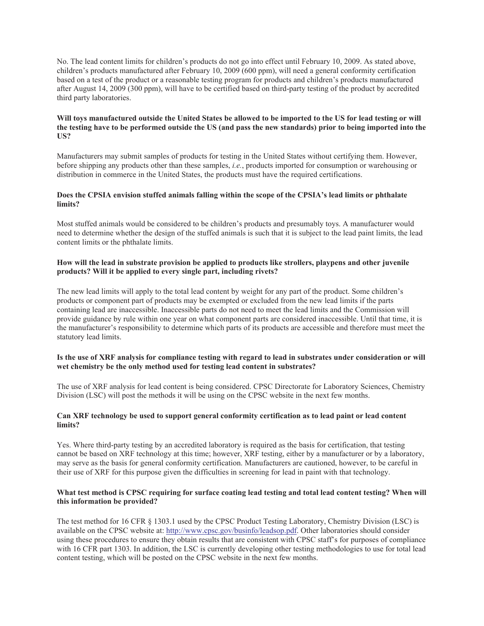No. The lead content limits for children's products do not go into effect until February 10, 2009. As stated above, children's products manufactured after February 10, 2009 (600 ppm), will need a general conformity certification based on a test of the product or a reasonable testing program for products and children's products manufactured after August 14, 2009 (300 ppm), will have to be certified based on third-party testing of the product by accredited third party laboratories.

### **Will toys manufactured outside the United States be allowed to be imported to the US for lead testing or will the testing have to be performed outside the US (and pass the new standards) prior to being imported into the US?**

Manufacturers may submit samples of products for testing in the United States without certifying them. However, before shipping any products other than these samples, *i.e.*, products imported for consumption or warehousing or distribution in commerce in the United States, the products must have the required certifications.

### **Does the CPSIA envision stuffed animals falling within the scope of the CPSIA's lead limits or phthalate limits?**

Most stuffed animals would be considered to be children's products and presumably toys. A manufacturer would need to determine whether the design of the stuffed animals is such that it is subject to the lead paint limits, the lead content limits or the phthalate limits.

# **How will the lead in substrate provision be applied to products like strollers, playpens and other juvenile products? Will it be applied to every single part, including rivets?**

The new lead limits will apply to the total lead content by weight for any part of the product. Some children's products or component part of products may be exempted or excluded from the new lead limits if the parts containing lead are inaccessible. Inaccessible parts do not need to meet the lead limits and the Commission will provide guidance by rule within one year on what component parts are considered inaccessible. Until that time, it is the manufacturer's responsibility to determine which parts of its products are accessible and therefore must meet the statutory lead limits.

### **Is the use of XRF analysis for compliance testing with regard to lead in substrates under consideration or will wet chemistry be the only method used for testing lead content in substrates?**

The use of XRF analysis for lead content is being considered. CPSC Directorate for Laboratory Sciences, Chemistry Division (LSC) will post the methods it will be using on the CPSC website in the next few months.

### **Can XRF technology be used to support general conformity certification as to lead paint or lead content limits?**

Yes. Where third-party testing by an accredited laboratory is required as the basis for certification, that testing cannot be based on XRF technology at this time; however, XRF testing, either by a manufacturer or by a laboratory, may serve as the basis for general conformity certification. Manufacturers are cautioned, however, to be careful in their use of XRF for this purpose given the difficulties in screening for lead in paint with that technology.

### **What test method is CPSC requiring for surface coating lead testing and total lead content testing? When will this information be provided?**

The test method for 16 CFR § 1303.1 used by the CPSC Product Testing Laboratory, Chemistry Division (LSC) is available on the CPSC website at: http://www.cpsc.gov/businfo/leadsop.pdf. Other laboratories should consider using these procedures to ensure they obtain results that are consistent with CPSC staff's for purposes of compliance with 16 CFR part 1303. In addition, the LSC is currently developing other testing methodologies to use for total lead content testing, which will be posted on the CPSC website in the next few months.